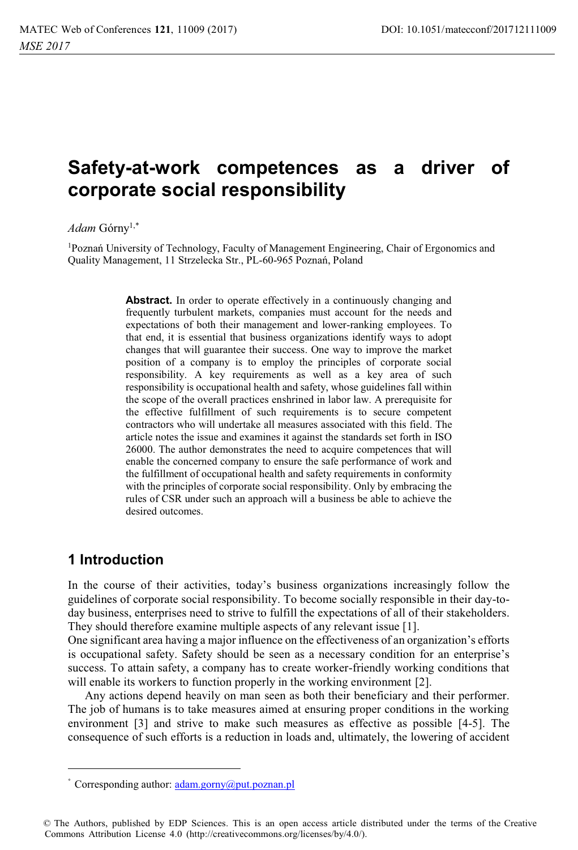# **Safety-at-work competences as a driver of corporate social responsibility**

*Adam* Górny1,\*

1 Poznań University of Technology, Faculty of Management Engineering, Chair of Ergonomics and Quality Management, 11 Strzelecka Str., PL-60-965 Poznań, Poland

> **Abstract.** In order to operate effectively in a continuously changing and frequently turbulent markets, companies must account for the needs and expectations of both their management and lower-ranking employees. To that end, it is essential that business organizations identify ways to adopt changes that will guarantee their success. One way to improve the market position of a company is to employ the principles of corporate social responsibility. A key requirements as well as a key area of such responsibility is occupational health and safety, whose guidelines fall within the scope of the overall practices enshrined in labor law. A prerequisite for the effective fulfillment of such requirements is to secure competent contractors who will undertake all measures associated with this field. The article notes the issue and examines it against the standards set forth in ISO 26000. The author demonstrates the need to acquire competences that will enable the concerned company to ensure the safe performance of work and the fulfillment of occupational health and safety requirements in conformity with the principles of corporate social responsibility. Only by embracing the rules of CSR under such an approach will a business be able to achieve the desired outcomes.

### **1 Introduction**

 $\overline{a}$ 

**In the course of their activities, today's business organizations increasingly follow the guidelines of corporate social responsibility. To become socially responsible in their day-today business, enterprises need to strive to fulfill the expectations of all of their stakeholders. They should therefore examine multiple aspects of any relevant issue [1].** 

**One significant area having a major influence on the effectiveness of an organization's efforts is occupational safety. Safety should be seen as a necessary condition for an enterprise's success. To attain safety, a company has to create worker-friendly working conditions that will enable its workers to function properly in the working environment [2].**

**Any actions depend heavily on man seen as both their beneficiary and their performer. The job of humans is to take measures aimed at ensuring proper conditions in the working environment [3] and strive to make such measures as effective as possible [4-5]. The consequence of such efforts is a reduction in loads and, ultimately, the lowering of accident**

Corresponding author:  $\frac{1}{\text{adam}}$ .gorny@put.poznan.pl

<sup>©</sup> The Authors, published by EDP Sciences. This is an open access article distributed under the terms of the Creative Commons Attribution License 4.0 (http://creativecommons.org/licenses/by/4.0/).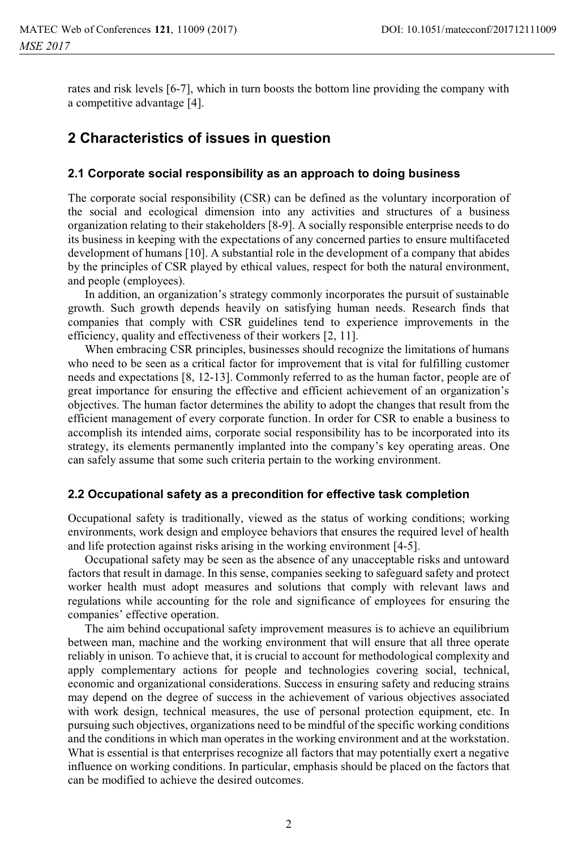**rates and risk levels [6-7], which in turn boosts the bottom line providing the company with a competitive advantage [4].** 

## **2 Characteristics of issues in question**

### **2.1 Corporate social responsibility as an approach to doing business**

**The corporate social responsibility (CSR) can be defined as the voluntary incorporation of the social and ecological dimension into any activities and structures of a business organization relating to their stakeholders [8-9]. A socially responsible enterprise needs to do its business in keeping with the expectations of any concerned parties to ensure multifaceted development of humans [10]. A substantial role in the development of a company that abides by the principles of CSR played by ethical values, respect for both the natural environment, and people (employees).**

**In addition, an organization's strategy commonly incorporates the pursuit of sustainable growth. Such growth depends heavily on satisfying human needs. Research finds that companies that comply with CSR guidelines tend to experience improvements in the efficiency, quality and effectiveness of their workers [2, 11].** 

**When embracing CSR principles, businesses should recognize the limitations of humans who need to be seen as a critical factor for improvement that is vital for fulfilling customer needs and expectations [8, 12-13]. Commonly referred to as the human factor, people are of great importance for ensuring the effective and efficient achievement of an organization's objectives. The human factor determines the ability to adopt the changes that result from the efficient management of every corporate function. In order for CSR to enable a business to accomplish its intended aims, corporate social responsibility has to be incorporated into its strategy, its elements permanently implanted into the company's key operating areas. One can safely assume that some such criteria pertain to the working environment.** 

### **2.2 Occupational safety as a precondition for effective task completion**

**Occupational safety is traditionally, viewed as the status of working conditions; working environments, work design and employee behaviors that ensures the required level of health and life protection against risks arising in the working environment [4-5].** 

**Occupational safety may be seen as the absence of any unacceptable risks and untoward factors that result in damage. In this sense, companies seeking to safeguard safety and protect worker health must adopt measures and solutions that comply with relevant laws and regulations while accounting for the role and significance of employees for ensuring the companies' effective operation.**

**The aim behind occupational safety improvement measures is to achieve an equilibrium between man, machine and the working environment that will ensure that all three operate reliably in unison. To achieve that, it is crucial to account for methodological complexity and apply complementary actions for people and technologies covering social, technical, economic and organizational considerations. Success in ensuring safety and reducing strains may depend on the degree of success in the achievement of various objectives associated with work design, technical measures, the use of personal protection equipment, etc. In pursuing such objectives, organizations need to be mindful of the specific working conditions and the conditions in which man operates in the working environment and at the workstation. What is essential is that enterprises recognize all factors that may potentially exert a negative influence on working conditions. In particular, emphasis should be placed on the factors that can be modified to achieve the desired outcomes.**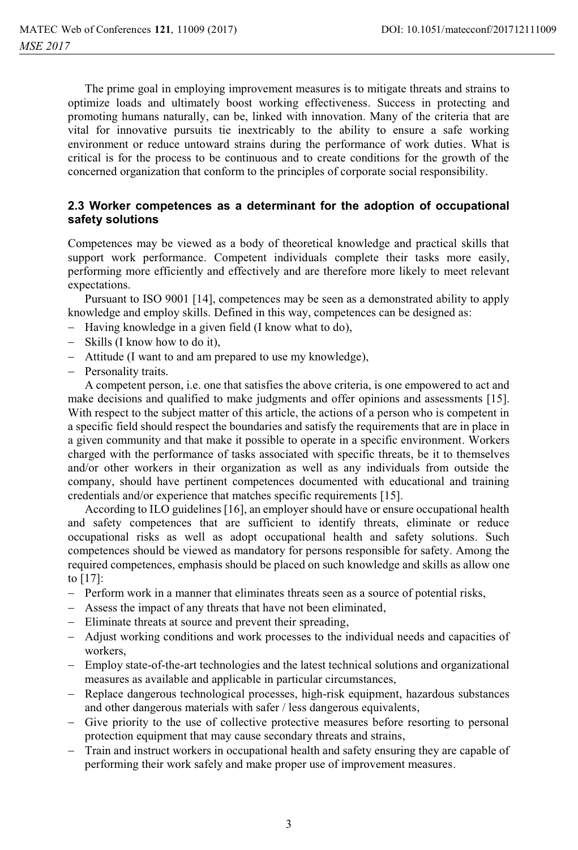**The prime goal in employing improvement measures is to mitigate threats and strains to optimize loads and ultimately boost working effectiveness. Success in protecting and promoting humans naturally, can be, linked with innovation. Many of the criteria that are vital for innovative pursuits tie inextricably to the ability to ensure a safe working environment or reduce untoward strains during the performance of work duties. What is critical is for the process to be continuous and to create conditions for the growth of the concerned organization that conform to the principles of corporate social responsibility.**

#### **2.3 Worker competences as a determinant for the adoption of occupational safety solutions**

**Competences may be viewed as a body of theoretical knowledge and practical skills that support work performance. Competent individuals complete their tasks more easily, performing more efficiently and effectively and are therefore more likely to meet relevant expectations.**

**Pursuant to ISO 9001 [14], competences may be seen as a demonstrated ability to apply knowledge and employ skills. Defined in this way, competences can be designed as:** 

- **Having knowledge in a given field (I know what to do),**
- **Skills (I know how to do it),**
- **Attitude (I want to and am prepared to use my knowledge),**
- **Personality traits.**

**A competent person, i.e. one that satisfies the above criteria, is one empowered to act and make decisions and qualified to make judgments and offer opinions and assessments [15]. With respect to the subject matter of this article, the actions of a person who is competent in a specific field should respect the boundaries and satisfy the requirements that are in place in a given community and that make it possible to operate in a specific environment. Workers charged with the performance of tasks associated with specific threats, be it to themselves and/or other workers in their organization as well as any individuals from outside the company, should have pertinent competences documented with educational and training credentials and/or experience that matches specific requirements [15].** 

**According to ILO guidelines [16], an employer should have or ensure occupational health and safety competences that are sufficient to identify threats, eliminate or reduce occupational risks as well as adopt occupational health and safety solutions. Such competences should be viewed as mandatory for persons responsible for safety. Among the required competences, emphasis should be placed on such knowledge and skills as allow one to [17]:** 

- **Perform work in a manner that eliminates threats seen as a source of potential risks,**
- **Assess the impact of any threats that have not been eliminated,**
- **Eliminate threats at source and prevent their spreading,**
- **Adjust working conditions and work processes to the individual needs and capacities of workers,**
- **Employ state-of-the-art technologies and the latest technical solutions and organizational measures as available and applicable in particular circumstances,**
- **Replace dangerous technological processes, high-risk equipment, hazardous substances and other dangerous materials with safer / less dangerous equivalents,**
- **Give priority to the use of collective protective measures before resorting to personal protection equipment that may cause secondary threats and strains,**
- **Train and instruct workers in occupational health and safety ensuring they are capable of performing their work safely and make proper use of improvement measures.**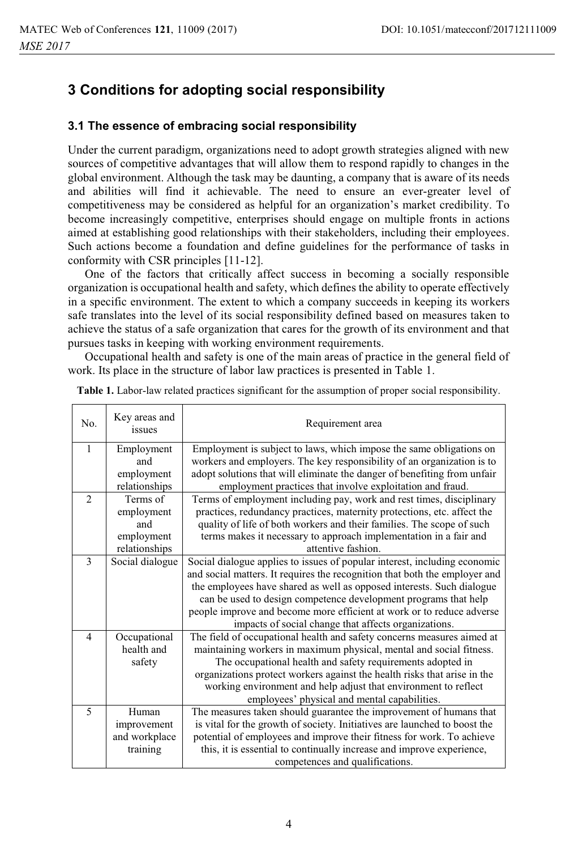## **3 Conditions for adopting social responsibility**

#### **3.1 The essence of embracing social responsibility**

**Under the current paradigm, organizations need to adopt growth strategies aligned with new sources of competitive advantages that will allow them to respond rapidly to changes in the global environment. Although the task may be daunting, a company that is aware of its needs and abilities will find it achievable. The need to ensure an ever-greater level of competitiveness may be considered as helpful for an organization's market credibility. To become increasingly competitive, enterprises should engage on multiple fronts in actions aimed at establishing good relationships with their stakeholders, including their employees. Such actions become a foundation and define guidelines for the performance of tasks in conformity with CSR principles [11-12].**

**One of the factors that critically affect success in becoming a socially responsible organization is occupational health and safety, which defines the ability to operate effectively in a specific environment. The extent to which a company succeeds in keeping its workers safe translates into the level of its social responsibility defined based on measures taken to achieve the status of a safe organization that cares for the growth of its environment and that pursues tasks in keeping with working environment requirements.** 

**Occupational health and safety is one of the main areas of practice in the general field of work. Its place in the structure of labor law practices is presented in Table 1.**

| No.            | Key areas and<br>issues | Requirement area                                                           |
|----------------|-------------------------|----------------------------------------------------------------------------|
| 1              | Employment              | Employment is subject to laws, which impose the same obligations on        |
|                | and                     | workers and employers. The key responsibility of an organization is to     |
|                | employment              | adopt solutions that will eliminate the danger of benefiting from unfair   |
|                | relationships           | employment practices that involve exploitation and fraud.                  |
| $\overline{2}$ | Terms of                | Terms of employment including pay, work and rest times, disciplinary       |
|                | employment              | practices, redundancy practices, maternity protections, etc. affect the    |
|                | and                     | quality of life of both workers and their families. The scope of such      |
|                | employment              | terms makes it necessary to approach implementation in a fair and          |
|                | relationships           | attentive fashion.                                                         |
| 3              | Social dialogue         | Social dialogue applies to issues of popular interest, including economic  |
|                |                         | and social matters. It requires the recognition that both the employer and |
|                |                         | the employees have shared as well as opposed interests. Such dialogue      |
|                |                         | can be used to design competence development programs that help            |
|                |                         | people improve and become more efficient at work or to reduce adverse      |
|                |                         | impacts of social change that affects organizations.                       |
| $\overline{4}$ | Occupational            | The field of occupational health and safety concerns measures aimed at     |
|                | health and              | maintaining workers in maximum physical, mental and social fitness.        |
|                | safety                  | The occupational health and safety requirements adopted in                 |
|                |                         | organizations protect workers against the health risks that arise in the   |
|                |                         | working environment and help adjust that environment to reflect            |
|                |                         | employees' physical and mental capabilities.                               |
| 5              | Human                   | The measures taken should guarantee the improvement of humans that         |
|                | improvement             | is vital for the growth of society. Initiatives are launched to boost the  |
|                | and workplace           | potential of employees and improve their fitness for work. To achieve      |
|                | training                | this, it is essential to continually increase and improve experience,      |
|                |                         | competences and qualifications.                                            |

**Table 1. Labor-law related practices significant for the assumption of proper social responsibility.**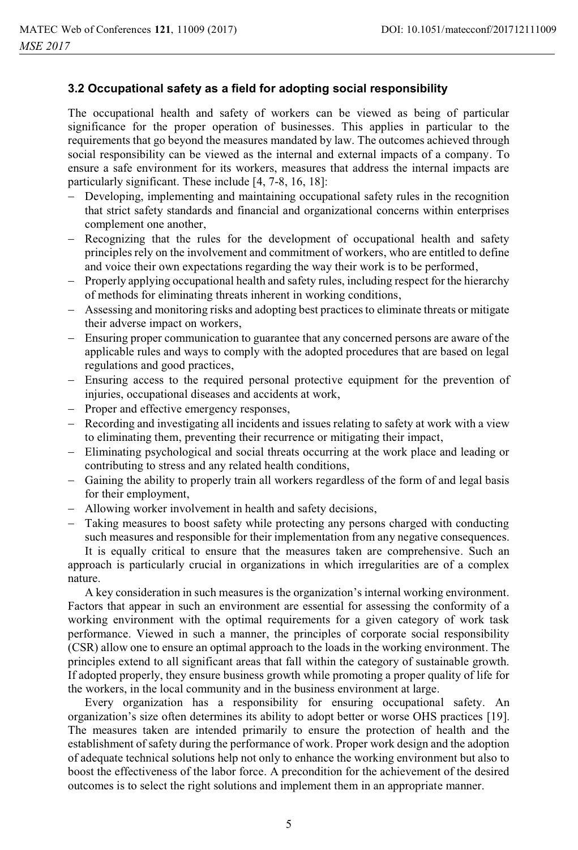### **3.2 Occupational safety as a field for adopting social responsibility**

**The occupational health and safety of workers can be viewed as being of particular significance for the proper operation of businesses. This applies in particular to the requirements that go beyond the measures mandated by law. The outcomes achieved through social responsibility can be viewed as the internal and external impacts of a company. To ensure a safe environment for its workers, measures that address the internal impacts are particularly significant. These include [4, 7-8, 16, 18]:** 

- **Developing, implementing and maintaining occupational safety rules in the recognition that strict safety standards and financial and organizational concerns within enterprises complement one another,**
- - **Recognizing that the rules for the development of occupational health and safety principles rely on the involvement and commitment of workers, who are entitled to define and voice their own expectations regarding the way their work is to be performed,**
- **Properly applying occupational health and safety rules, including respect for the hierarchy of methods for eliminating threats inherent in working conditions,**
- **Assessing and monitoring risks and adopting best practicesto eliminate threats or mitigate their adverse impact on workers,**
- **Ensuring proper communication to guarantee that any concerned persons are aware of the applicable rules and ways to comply with the adopted procedures that are based on legal regulations and good practices,**
- - **Ensuring access to the required personal protective equipment for the prevention of injuries, occupational diseases and accidents at work,**
- **Proper and effective emergency responses,**
- **Recording and investigating all incidents and issues relating to safety at work with a view to eliminating them, preventing their recurrence or mitigating their impact,**
- **Eliminating psychological and social threats occurring at the work place and leading or contributing to stress and any related health conditions,**
- **Gaining the ability to properly train all workers regardless of the form of and legal basis for their employment,**
- **Allowing worker involvement in health and safety decisions,**
- **Taking measures to boost safety while protecting any persons charged with conducting such measures and responsible for their implementation from any negative consequences. It is equally critical to ensure that the measures taken are comprehensive. Such an**

**approach is particularly crucial in organizations in which irregularities are of a complex nature.** 

**A key consideration in such measures is the organization's internal working environment. Factors that appear in such an environment are essential for assessing the conformity of a working environment with the optimal requirements for a given category of work task performance. Viewed in such a manner, the principles of corporate social responsibility (CSR) allow one to ensure an optimal approach to the loads in the working environment. The principles extend to all significant areas that fall within the category of sustainable growth. If adopted properly, they ensure business growth while promoting a proper quality of life for the workers, in the local community and in the business environment at large.** 

**Every organization has a responsibility for ensuring occupational safety. An organization's size often determines its ability to adopt better or worse OHS practices [19]. The measures taken are intended primarily to ensure the protection of health and the establishment of safety during the performance of work. Proper work design and the adoption of adequate technical solutions help not only to enhance the working environment but also to boost the effectiveness of the labor force. A precondition for the achievement of the desired outcomes is to select the right solutions and implement them in an appropriate manner.**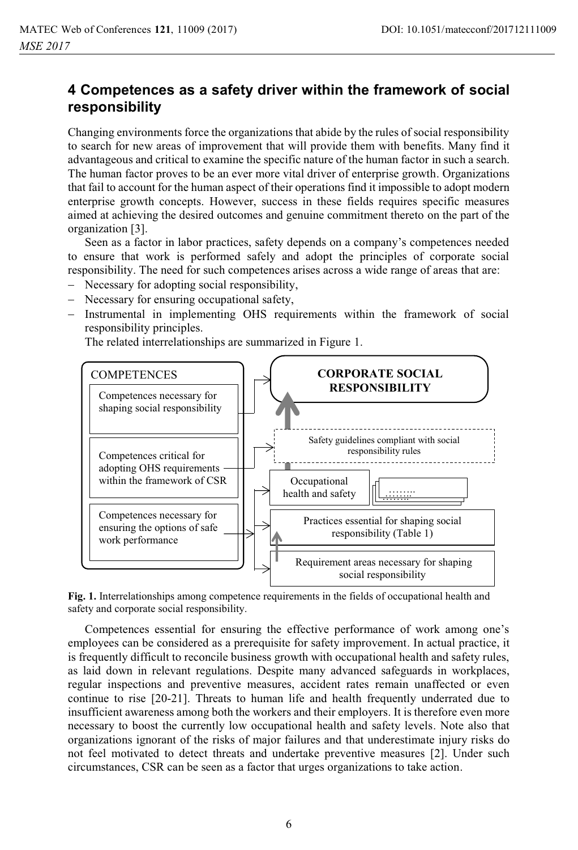### **4 Competences as a safety driver within the framework of social responsibility**

**Changing environments force the organizations that abide by the rules of social responsibility to search for new areas of improvement that will provide them with benefits. Many find it advantageous and critical to examine the specific nature of the human factor in such a search. The human factor proves to be an ever more vital driver of enterprise growth. Organizations that fail to account for the human aspect of their operations find it impossible to adopt modern enterprise growth concepts. However, success in these fields requires specific measures aimed at achieving the desired outcomes and genuine commitment thereto on the part of the organization [3].** 

**Seen as a factor in labor practices, safety depends on a company's competences needed to ensure that work is performed safely and adopt the principles of corporate social responsibility. The need for such competences arises across a wide range of areas that are:** 

- **Necessary for adopting social responsibility,**
- **Necessary for ensuring occupational safety,**
- - **Instrumental in implementing OHS requirements within the framework of social responsibility principles.**

**The related interrelationships are summarized in Figure 1.**



**Fig. 1.** Interrelationships among competence requirements in the fields of occupational health and safety and corporate social responsibility.

**Competences essential for ensuring the effective performance of work among one's employees can be considered as a prerequisite for safety improvement. In actual practice, it is frequently difficult to reconcile business growth with occupational health and safety rules, as laid down in relevant regulations. Despite many advanced safeguards in workplaces, regular inspections and preventive measures, accident rates remain unaffected or even continue to rise [20-21]. Threats to human life and health frequently underrated due to insufficient awareness among both the workers and their employers. It is therefore even more necessary to boost the currently low occupational health and safety levels. Note also that organizations ignorant of the risks of major failures and that underestimate injury risks do not feel motivated to detect threats and undertake preventive measures [2]. Under such circumstances, CSR can be seen as a factor that urges organizations to take action.**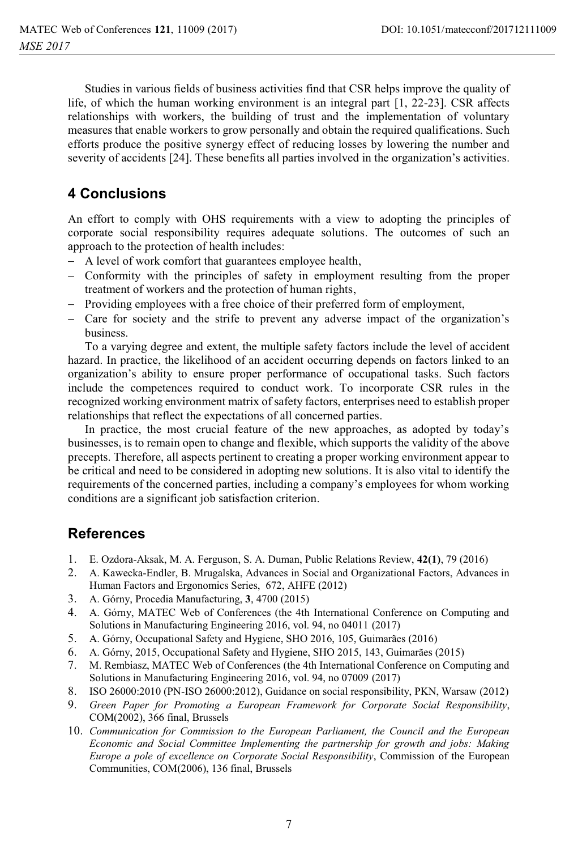**Studies in various fields of business activities find that CSR helps improve the quality of life, of which the human working environment is an integral part [1, 22-23]. CSR affects relationships with workers, the building of trust and the implementation of voluntary measures that enable workers to grow personally and obtain the required qualifications. Such efforts produce the positive synergy effect of reducing losses by lowering the number and severity of accidents [24]. These benefits all parties involved in the organization's activities.**

## **4 Conclusions**

**An effort to comply with OHS requirements with a view to adopting the principles of corporate social responsibility requires adequate solutions. The outcomes of such an approach to the protection of health includes:** 

- **A level of work comfort that guarantees employee health,**
- **Conformity with the principles of safety in employment resulting from the proper treatment of workers and the protection of human rights,**
- **Providing employees with a free choice of their preferred form of employment,**
- **Care for society and the strife to prevent any adverse impact of the organization's business.**

**To a varying degree and extent, the multiple safety factors include the level of accident hazard. In practice, the likelihood of an accident occurring depends on factors linked to an organization's ability to ensure proper performance of occupational tasks. Such factors include the competences required to conduct work. To incorporate CSR rules in the recognized working environment matrix of safety factors, enterprises need to establish proper relationships that reflect the expectations of all concerned parties.**

**In practice, the most crucial feature of the new approaches, as adopted by today's businesses, is to remain open to change and flexible, which supports the validity of the above precepts. Therefore, all aspects pertinent to creating a proper working environment appear to be critical and need to be considered in adopting new solutions. It is also vital to identify the requirements of the concerned parties, including a company's employees for whom working conditions are a significant job satisfaction criterion.**

### **References**

- **1. E. Ozdora-Aksak, M. A. Ferguson, S. A. Duman, Public Relations Review, 42(1), 79 (2016)**
- **2. A. Kawecka-Endler, B. Mrugalska, Advances in Social and Organizational Factors, Advances in Human Factors and Ergonomics Series, 672, AHFE (2012)**
- **3. A. Górny, Procedia Manufacturing, 3, 4700 (2015)**
- **4. A. Górny, MATEC Web of Conferences (the 4th International Conference on Computing and Solutions in Manufacturing Engineering 2016, vol. 94, no 04011 (2017)**
- **5. A. Górny, Occupational Safety and Hygiene, SHO 2016, 105, Guimarães (2016)**
- **6. A. Górny, 2015, Occupational Safety and Hygiene, SHO 2015, 143, Guimarães (2015)**
- **7. M. Rembiasz, MATEC Web of Conferences (the 4th International Conference on Computing and Solutions in Manufacturing Engineering 2016, vol. 94, no 07009 (2017)**
- **8. ISO 26000:2010 (PN-ISO 26000:2012), Guidance on social responsibility, PKN, Warsaw (2012)**
- **9.** Green Paper for Promoting a European Framework for Corporate Social Responsibility**, COM(2002), 366 final, Brussels**
- **10.** Communication for Commission to the European Parliament, the Council and the European Economic and Social Committee Implementing the partnership for growth and jobs: Making Europe a pole of excellence on Corporate Social Responsibility**, Commission of the European Communities, COM(2006), 136 final, Brussels**